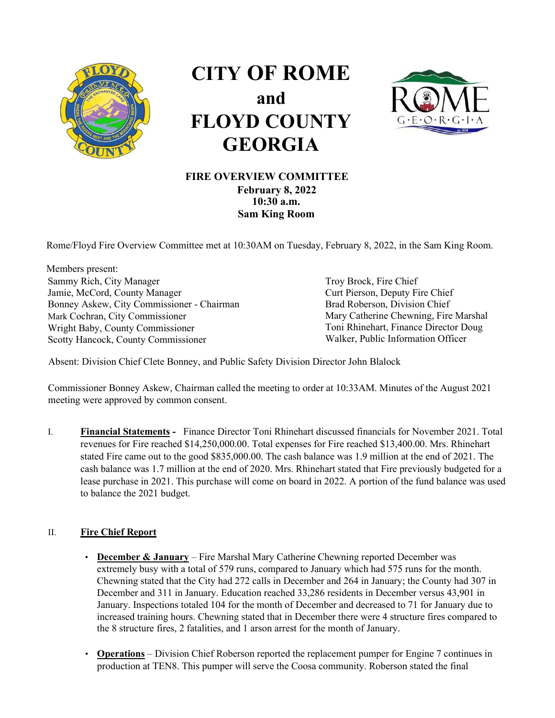

## **CITY OF ROME and FLOYD COUNTY GEORGIA**



## **FIRE OVERVIEW COMMITTEE February 8, 2022 10:30 a.m.**

Rome/Floyd Fire Overview Committee met at 10:30AM on Tuesday, February 8, 2022, in the Sam King Room.

**Sam King Room** 

Members present: Sammy Rich, City Manager Jamie, McCord, County Manager Bonney Askew, City Commissioner - Chairman Mark Cochran, City Commissioner Wright Baby, County Commissioner Scotty Hancock, County Commissioner

Troy Brock, Fire Chief Curt Pierson, Deputy Fire Chief Brad Roberson, Division Chief Mary Catherine Chewning, Fire Marshal Toni Rhinehart, Finance Director Doug Walker, Public Information Officer

Absent: Division Chief Clete Bonney, and Public Safety Division Director John Blalock

Commissioner Bonney Askew, Chairman called the meeting to order at 10:33AM. Minutes of the August 2021 meeting were approved by common consent.

I. **Financial Statements -** Finance Director Toni Rhinehart discussed financials for November 2021. Total revenues for Fire reached \$14,250,000.00. Total expenses for Fire reached \$13,400.00. Mrs. Rhinehart stated Fire came out to the good \$835,000.00. The cash balance was 1.9 million at the end of 2021. The cash balance was 1.7 million at the end of 2020. Mrs. Rhinehart stated that Fire previously budgeted for a lease purchase in 2021. This purchase will come on board in 2022. A portion of the fund balance was used to balance the 2021 budget.

## II. **Fire Chief Report**

- **December & January** Fire Marshal Mary Catherine Chewning reported December was extremely busy with a total of 579 runs, compared to January which had 575 runs for the month. Chewning stated that the City had 272 calls in December and 264 in January; the County had 307 in December and 311 in January. Education reached 33,286 residents in December versus 43,901 in January. Inspections totaled 104 for the month of December and decreased to 71 for January due to increased training hours. Chewning stated that in December there were 4 structure fires compared to the 8 structure fires, 2 fatalities, and 1 arson arrest for the month of January.
- **Operations** Division Chief Roberson reported the replacement pumper for Engine 7 continues in production at TEN8. This pumper will serve the Coosa community. Roberson stated the final